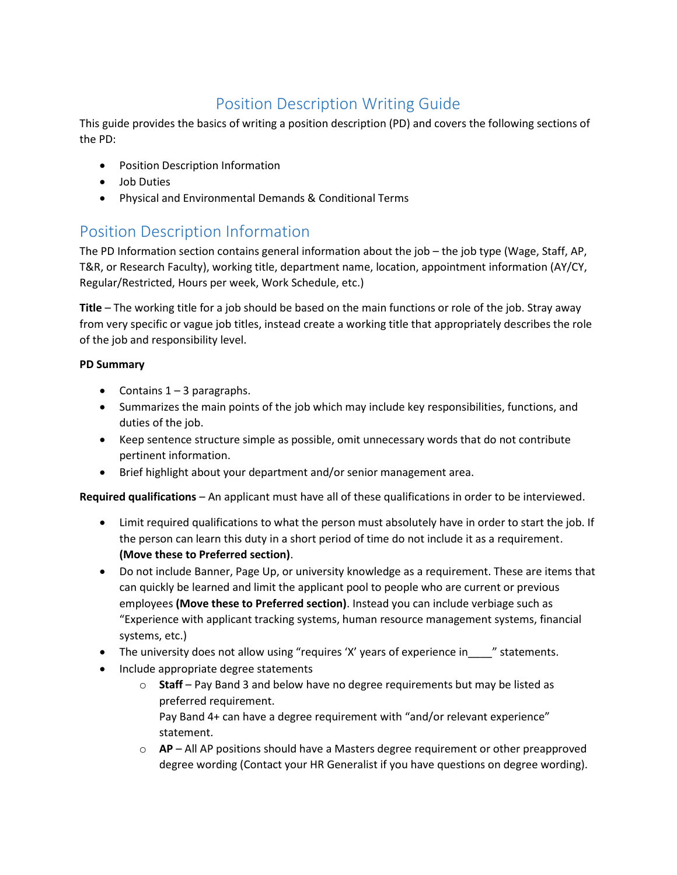## Position Description Writing Guide

This guide provides the basics of writing a position description (PD) and covers the following sections of the PD:

- Position Description Information
- Job Duties
- Physical and Environmental Demands & Conditional Terms

### Position Description Information

The PD Information section contains general information about the job – the job type (Wage, Staff, AP, T&R, or Research Faculty), working title, department name, location, appointment information (AY/CY, Regular/Restricted, Hours per week, Work Schedule, etc.)

**Title** – The working title for a job should be based on the main functions or role of the job. Stray away from very specific or vague job titles, instead create a working title that appropriately describes the role of the job and responsibility level.

#### **PD Summary**

- Contains  $1 3$  paragraphs.
- Summarizes the main points of the job which may include key responsibilities, functions, and duties of the job.
- Keep sentence structure simple as possible, omit unnecessary words that do not contribute pertinent information.
- Brief highlight about your department and/or senior management area.

**Required qualifications** – An applicant must have all of these qualifications in order to be interviewed.

- Limit required qualifications to what the person must absolutely have in order to start the job. If the person can learn this duty in a short period of time do not include it as a requirement. **(Move these to Preferred section)**.
- Do not include Banner, Page Up, or university knowledge as a requirement. These are items that can quickly be learned and limit the applicant pool to people who are current or previous employees **(Move these to Preferred section)**. Instead you can include verbiage such as "Experience with applicant tracking systems, human resource management systems, financial systems, etc.)
- The university does not allow using "requires 'X' years of experience in \_\_\_\_" statements.
- Include appropriate degree statements
	- o **Staff** Pay Band 3 and below have no degree requirements but may be listed as preferred requirement.

Pay Band 4+ can have a degree requirement with "and/or relevant experience" statement.

o **AP** – All AP positions should have a Masters degree requirement or other preapproved degree wording (Contact your HR Generalist if you have questions on degree wording).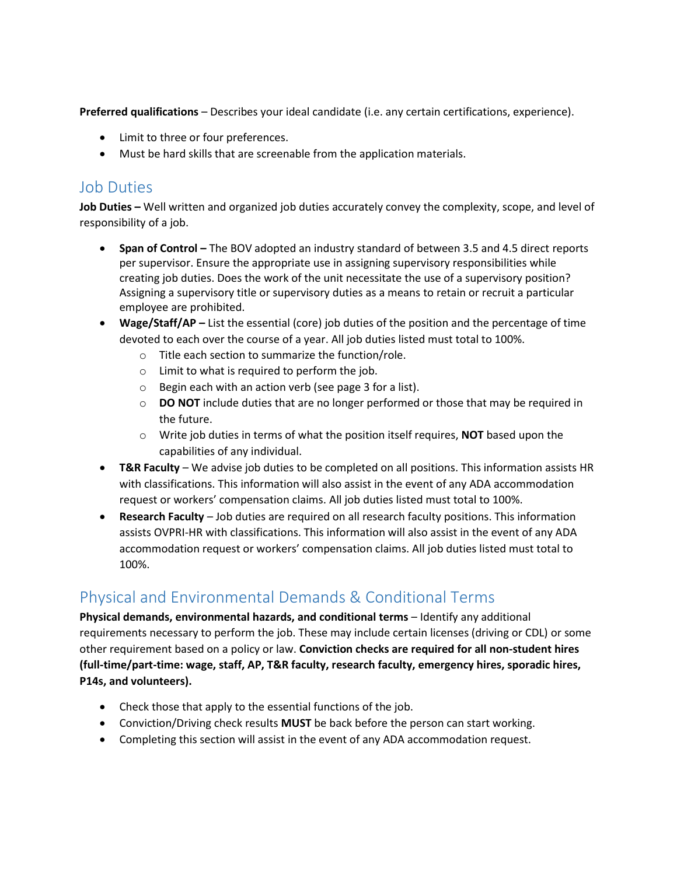**Preferred qualifications** – Describes your ideal candidate (i.e. any certain certifications, experience).

- Limit to three or four preferences.
- Must be hard skills that are screenable from the application materials.

#### Job Duties

**Job Duties –** Well written and organized job duties accurately convey the complexity, scope, and level of responsibility of a job.

- **Span of Control –** The BOV adopted an industry standard of between 3.5 and 4.5 direct reports per supervisor. Ensure the appropriate use in assigning supervisory responsibilities while creating job duties. Does the work of the unit necessitate the use of a supervisory position? Assigning a supervisory title or supervisory duties as a means to retain or recruit a particular employee are prohibited.
- **Wage/Staff/AP –** List the essential (core) job duties of the position and the percentage of time devoted to each over the course of a year. All job duties listed must total to 100%.
	- o Title each section to summarize the function/role.
	- o Limit to what is required to perform the job.
	- o Begin each with an action verb (see page 3 for a list).
	- o **DO NOT** include duties that are no longer performed or those that may be required in the future.
	- o Write job duties in terms of what the position itself requires, **NOT** based upon the capabilities of any individual.
- **T&R Faculty**  We advise job duties to be completed on all positions. This information assists HR with classifications. This information will also assist in the event of any ADA accommodation request or workers' compensation claims. All job duties listed must total to 100%.
- **Research Faculty**  Job duties are required on all research faculty positions. This information assists OVPRI-HR with classifications. This information will also assist in the event of any ADA accommodation request or workers' compensation claims. All job duties listed must total to 100%.

# Physical and Environmental Demands & Conditional Terms

**Physical demands, environmental hazards, and conditional terms** – Identify any additional requirements necessary to perform the job. These may include certain licenses (driving or CDL) or some other requirement based on a policy or law. **Conviction checks are required for all non-student hires (full-time/part-time: wage, staff, AP, T&R faculty, research faculty, emergency hires, sporadic hires, P14s, and volunteers).**

- Check those that apply to the essential functions of the job.
- Conviction/Driving check results **MUST** be back before the person can start working.
- Completing this section will assist in the event of any ADA accommodation request.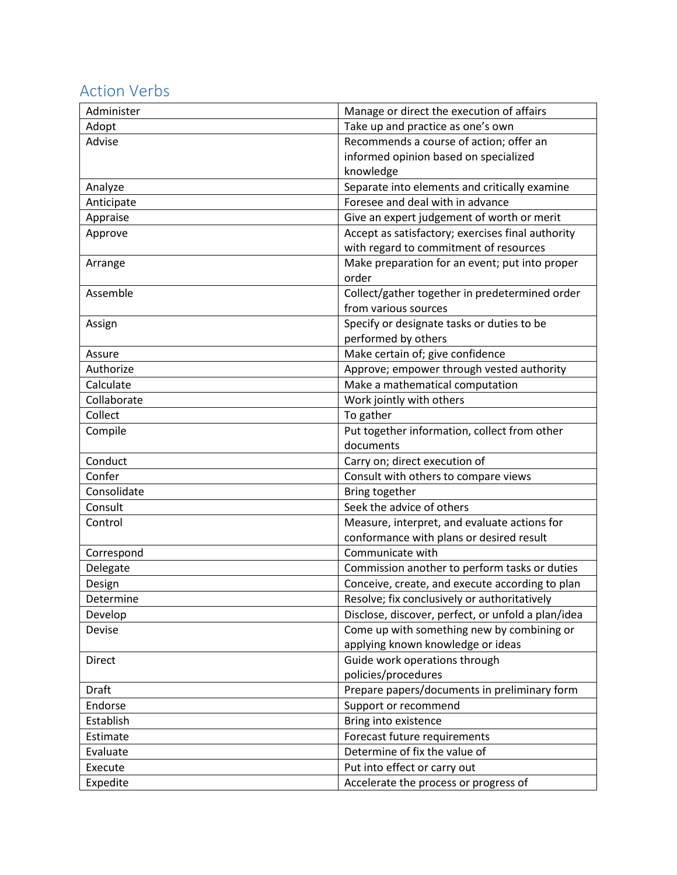## Action Verbs

| Administer    | Manage or direct the execution of affairs          |
|---------------|----------------------------------------------------|
| Adopt         | Take up and practice as one's own                  |
| Advise        | Recommends a course of action; offer an            |
|               | informed opinion based on specialized              |
|               | knowledge                                          |
| Analyze       | Separate into elements and critically examine      |
| Anticipate    | Foresee and deal with in advance                   |
| Appraise      | Give an expert judgement of worth or merit         |
| Approve       | Accept as satisfactory; exercises final authority  |
|               | with regard to commitment of resources             |
| Arrange       | Make preparation for an event; put into proper     |
|               | order                                              |
| Assemble      | Collect/gather together in predetermined order     |
|               | from various sources                               |
| Assign        | Specify or designate tasks or duties to be         |
|               | performed by others                                |
| Assure        | Make certain of; give confidence                   |
| Authorize     | Approve; empower through vested authority          |
| Calculate     | Make a mathematical computation                    |
| Collaborate   | Work jointly with others                           |
| Collect       | To gather                                          |
| Compile       | Put together information, collect from other       |
|               | documents                                          |
| Conduct       | Carry on; direct execution of                      |
| Confer        | Consult with others to compare views               |
| Consolidate   | Bring together                                     |
| Consult       | Seek the advice of others                          |
| Control       | Measure, interpret, and evaluate actions for       |
|               | conformance with plans or desired result           |
| Correspond    | Communicate with                                   |
| Delegate      | Commission another to perform tasks or duties      |
| Design        | Conceive, create, and execute according to plan    |
| Determine     | Resolve; fix conclusively or authoritatively       |
| Develop       | Disclose, discover, perfect, or unfold a plan/idea |
| Devise        | Come up with something new by combining or         |
|               | applying known knowledge or ideas                  |
| <b>Direct</b> | Guide work operations through                      |
|               | policies/procedures                                |
| Draft         | Prepare papers/documents in preliminary form       |
| Endorse       | Support or recommend                               |
| Establish     | Bring into existence                               |
| Estimate      | Forecast future requirements                       |
| Evaluate      | Determine of fix the value of                      |
| Execute       | Put into effect or carry out                       |
| Expedite      | Accelerate the process or progress of              |